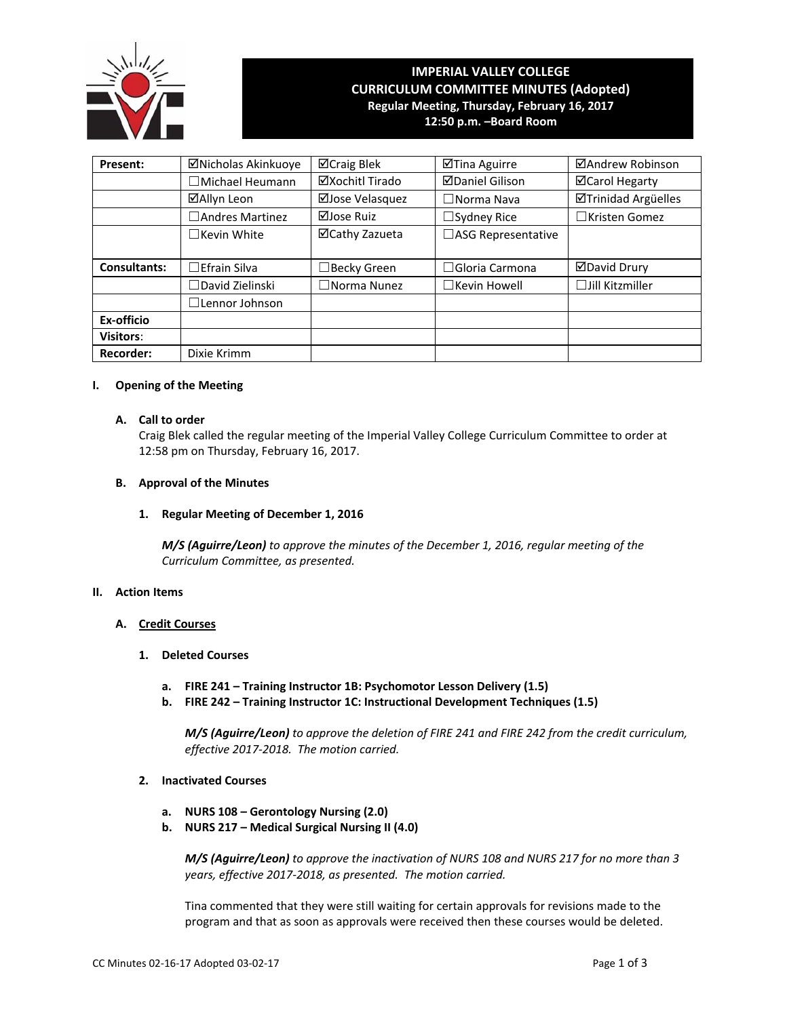

# **IMPERIAL VALLEY COLLEGE CURRICULUM COMMITTEE MINUTES (Adopted) Regular Meeting, Thursday, February 16, 2017**

**12:50 p.m. –Board Room**

| Present:            | ⊠Nicholas Akinkuoye       | ⊠Craig Blek           | ⊠Tina Aguirre          | ⊠Andrew Robinson           |
|---------------------|---------------------------|-----------------------|------------------------|----------------------------|
|                     | $\Box$ Michael Heumann    | ⊠Xochitl Tirado       | <b>ØDaniel Gilison</b> | ⊠Carol Hegarty             |
|                     | ⊠Allyn Leon               | ⊠Jose Velasquez       | $\Box$ Norma Nava      | <b>ØTrinidad Argüelles</b> |
|                     | $\square$ Andres Martinez | ⊠Jose Ruiz            | $\Box$ Sydney Rice     | $\Box$ Kristen Gomez       |
|                     | $\Box$ Kevin White        | ⊠Cathy Zazueta        | □ASG Representative    |                            |
|                     |                           |                       |                        |                            |
| <b>Consultants:</b> | $\Box$ Efrain Silva       | $\Box$ Becky Green    | $\Box$ Gloria Carmona  | ⊠David Drury               |
|                     | $\Box$ David Zielinski    | $\square$ Norma Nunez | $\Box$ Kevin Howell    | $\square$ Jill Kitzmiller  |
|                     | □Lennor Johnson           |                       |                        |                            |
| Ex-officio          |                           |                       |                        |                            |
| <b>Visitors:</b>    |                           |                       |                        |                            |
| <b>Recorder:</b>    | Dixie Krimm               |                       |                        |                            |

## **I. Opening of the Meeting**

## **A. Call to order**

Craig Blek called the regular meeting of the Imperial Valley College Curriculum Committee to order at 12:58 pm on Thursday, February 16, 2017.

## **B. Approval of the Minutes**

## **1. Regular Meeting of December 1, 2016**

*M/S (Aguirre/Leon) to approve the minutes of the December 1, 2016, regular meeting of the Curriculum Committee, as presented.* 

## **II. Action Items**

## **A. Credit Courses**

- **1. Deleted Courses**
	- **a. FIRE 241 – Training Instructor 1B: Psychomotor Lesson Delivery (1.5)**
	- **b. FIRE 242 – Training Instructor 1C: Instructional Development Techniques (1.5)**

*M/S (Aguirre/Leon) to approve the deletion of FIRE 241 and FIRE 242 from the credit curriculum, effective 2017‐2018. The motion carried.*

## **2. Inactivated Courses**

- **a. NURS 108 – Gerontology Nursing (2.0)**
- **b. NURS 217 – Medical Surgical Nursing II (4.0)**

M/S (Aguirre/Leon) to approve the inactivation of NURS 108 and NURS 217 for no more than 3  *years, effective 2017‐2018, as presented. The motion carried.*

Tina commented that they were still waiting for certain approvals for revisions made to the program and that as soon as approvals were received then these courses would be deleted.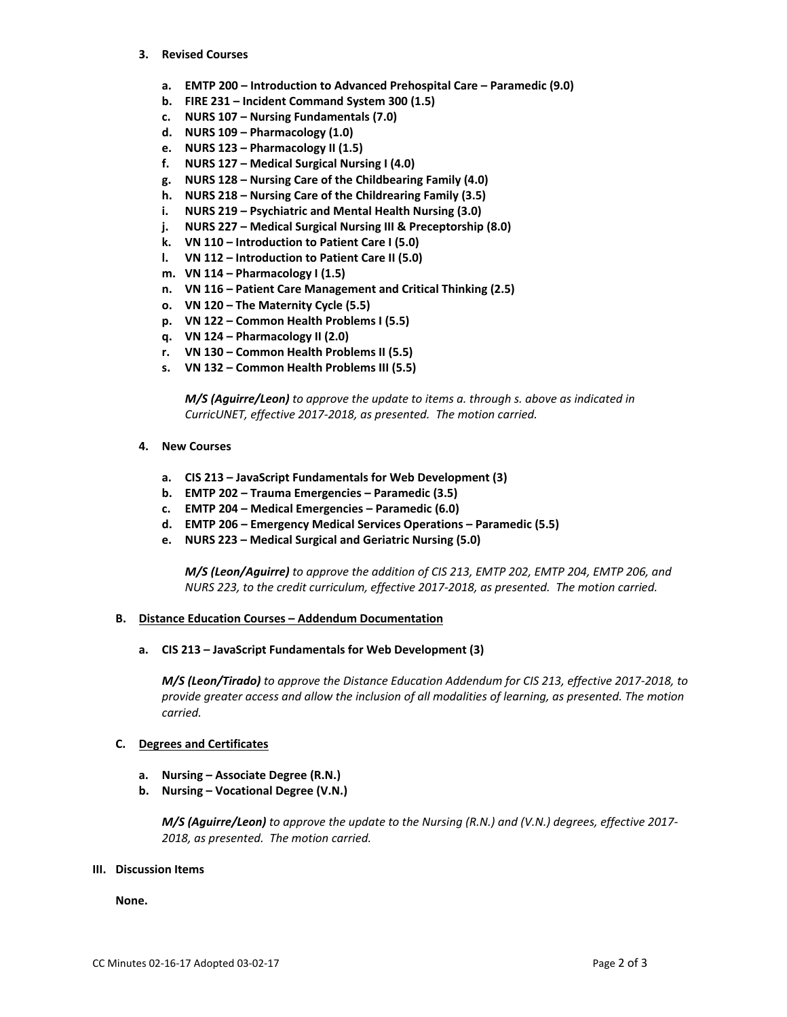- **3. Revised Courses**
	- **a. EMTP 200 – Introduction to Advanced Prehospital Care – Paramedic (9.0)**
	- **b. FIRE 231 – Incident Command System 300 (1.5)**
	- **c. NURS 107 – Nursing Fundamentals (7.0)**
	- **d. NURS 109 – Pharmacology (1.0)**
	- **e. NURS 123 – Pharmacology II (1.5)**
	- **f. NURS 127 – Medical Surgical Nursing I (4.0)**
	- **g. NURS 128 – Nursing Care of the Childbearing Family (4.0)**
	- **h. NURS 218 – Nursing Care of the Childrearing Family (3.5)**
	- **i. NURS 219 – Psychiatric and Mental Health Nursing (3.0)**
	- **j. NURS 227 – Medical Surgical Nursing III & Preceptorship (8.0)**
	- **k. VN 110 – Introduction to Patient Care I (5.0)**
	- **l. VN 112 – Introduction to Patient Care II (5.0)**
	- **m. VN 114 – Pharmacology I (1.5)**
	- **n. VN 116 – Patient Care Management and Critical Thinking (2.5)**
	- **o. VN 120 – The Maternity Cycle (5.5)**
	- **p. VN 122 – Common Health Problems I (5.5)**
	- **q. VN 124 – Pharmacology II (2.0)**
	- **r. VN 130 – Common Health Problems II (5.5)**
	- **s. VN 132 – Common Health Problems III (5.5)**

 *M/S (Aguirre/Leon) to approve the update to items a. through s. above as indicated in CurricUNET, effective 2017‐2018, as presented. The motion carried.*

- **4. New Courses**
	- **a. CIS 213 – JavaScript Fundamentals for Web Development (3)**
	- **b. EMTP 202 – Trauma Emergencies – Paramedic (3.5)**
	- **c. EMTP 204 – Medical Emergencies – Paramedic (6.0)**
	- **d. EMTP 206 – Emergency Medical Services Operations – Paramedic (5.5)**
	- **e. NURS 223 – Medical Surgical and Geriatric Nursing (5.0)**

 *M/S (Leon/Aguirre) to approve the addition of CIS 213, EMTP 202, EMTP 204, EMTP 206, and NURS 223, to the credit curriculum, effective 2017‐2018, as presented. The motion carried.*

## **B. Distance Education Courses – Addendum Documentation**

## **a. CIS 213 – JavaScript Fundamentals for Web Development (3)**

*M/S (Leon/Tirado) to approve the Distance Education Addendum for CIS 213, effective 2017‐2018, to provide greater access and allow the inclusion of all modalities of learning, as presented. The motion carried.*

## **C. Degrees and Certificates**

- **a. Nursing – Associate Degree (R.N.)**
- **b. Nursing – Vocational Degree (V.N.)**

 *M/S (Aguirre/Leon) to approve the update to the Nursing (R.N.) and (V.N.) degrees, effective 2017‐ 2018, as presented. The motion carried.*

## **III. Discussion Items**

**None.**